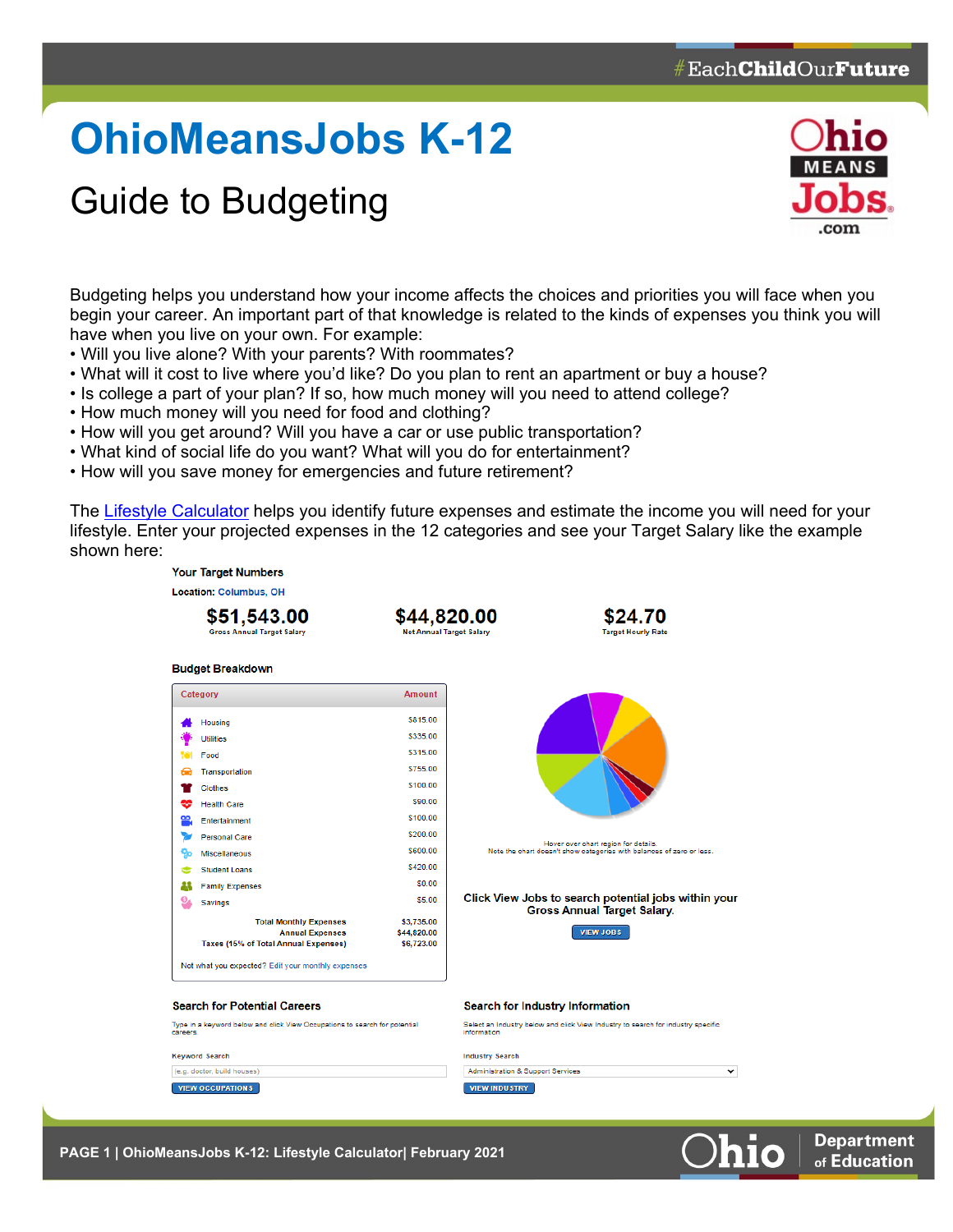## **OhioMeansJobs K-12**

## Guide to Budgeting



Budgeting helps you understand how your income affects the choices and priorities you will face when you begin your career. An important part of that knowledge is related to the kinds of expenses you think you will have when you live on your own. For example:

- Will you live alone? With your parents? With roommates?
- What will it cost to live where you'd like? Do you plan to rent an apartment or buy a house?
- Is college a part of your plan? If so, how much money will you need to attend college?
- How much money will you need for food and clothing?
- How will you get around? Will you have a car or use public transportation?
- What kind of social life do you want? What will you do for entertainment?
- How will you save money for emergencies and future retirement?

The [Lifestyle Calculator](https://jobseeker.k-12.ohiomeansjobs.monster.com/FundIt/LifestyleCalculator.aspx) helps you identify future expenses and estimate the income you will need for your lifestyle. Enter your projected expenses in the 12 categories and see your Target Salary like the example shown here:



**PAGE 1 | OhioMeansJobs K-12: Lifestyle Calculator| February 2021**